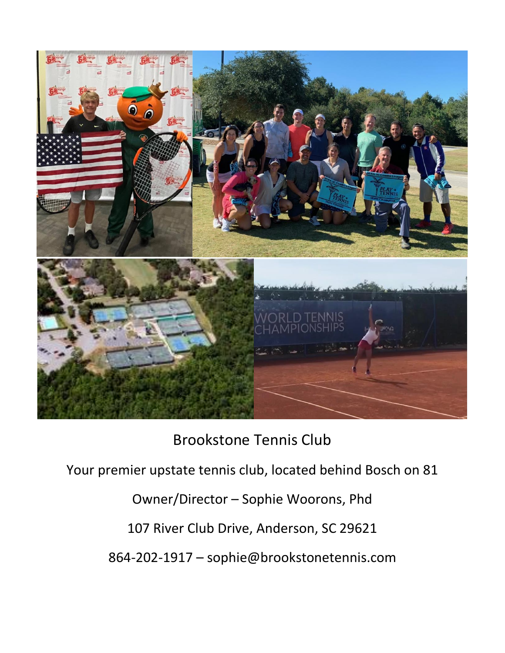

Brookstone Tennis Club

Your premier upstate tennis club, located behind Bosch on 81

Owner/Director – Sophie Woorons, Phd

107 River Club Drive, Anderson, SC 29621

864-202-1917 – sophie@brookstonetennis.com